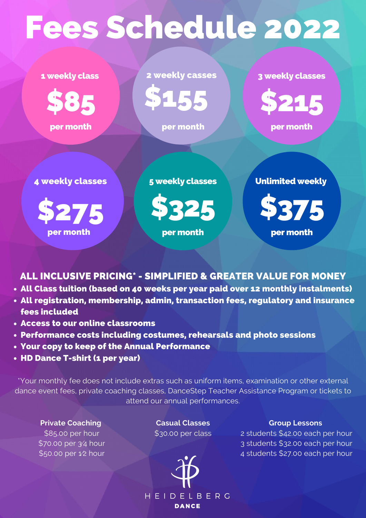1 weekly class



per month

3 weekly classes

- All Class tuition (based on 40 weeks per year paid over 12 monthly instalments)
- All registration, membership, admin, transaction fees, regulatory and insurance fees included
- Access to our online classrooms
- Performance costs including costumes, rehearsals and photo sessions
- Your copy to keep of the Annual Performance
- HD Dance T-shirt (1 per year)



per month

5 weekly classes



per month

**Private Coaching** \$85.00 per hour \$70.00 per 3⁄4 hour \$50.00 per 1⁄2 hour

ALL INCLUSIVE PRICING\* - SIMPLIFIED & GREATER VALUE FOR MONEY

\*Your monthly fee does not include extras such as uniform items, examination or other external dance event fees, private coaching classes, DanceStep Teacher Assistance Program or tickets to attend our annual performances.

Unlimited weekly



per month

## **Group Lessons**

2 students \$42.00 each per hour 3 students \$32.00 each per hour 4 students \$27.00 each per hour



## Fees Schedule 2022

2 weekly casses

per month

\$155

4 weekly classes

per month



**Casual Classes** \$30.00 per class